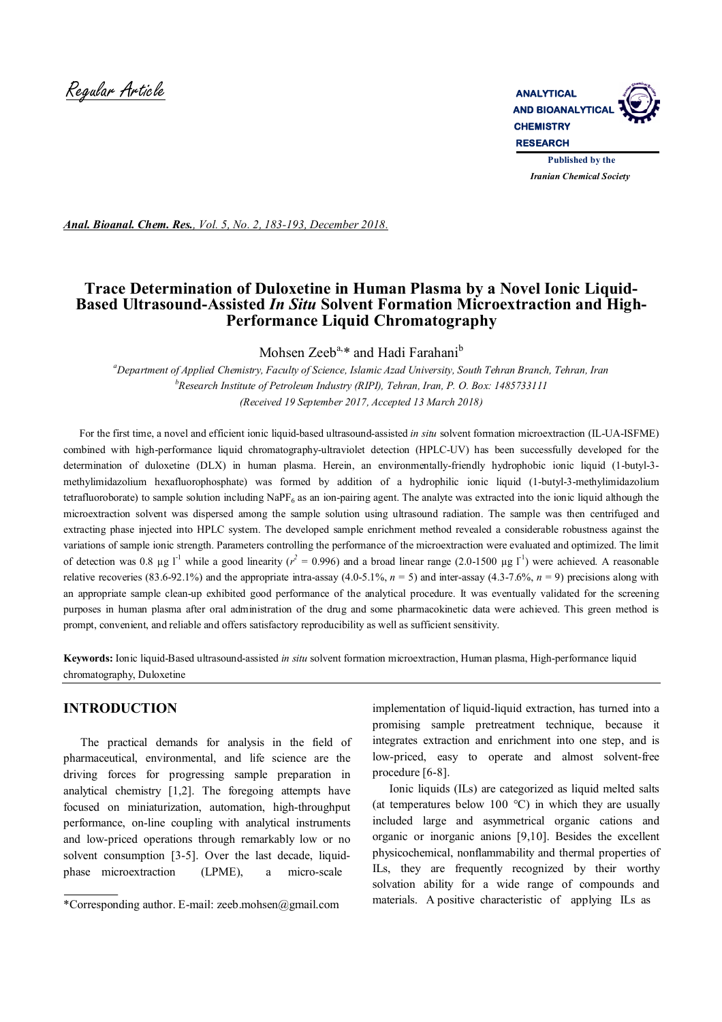

*Iranian Chemical Society* 

*Anal. Bioanal. Chem. Res., Vol. 5, No. 2, 183-193, December 2018.*

# **Trace Determination of Duloxetine in Human Plasma by a Novel Ionic Liquid-Based Ultrasound-Assisted** *In Situ* **Solvent Formation Microextraction and High-Performance Liquid Chromatography**

Mohsen Zeeb<sup>a,\*</sup> and Hadi Farahani<sup>b</sup>

*<sup>a</sup>Department of Applied Chemistry, Faculty of Science, Islamic Azad University, South Tehran Branch, Tehran, Iran <sup>b</sup>Research Institute of Petroleum Industry (RIPI), Tehran, Iran, P. O. Box: 1485733111 (Received 19 September 2017, Accepted 13 March 2018)*

 For the first time, a novel and efficient ionic liquid-based ultrasound-assisted *in situ* solvent formation microextraction (IL-UA-ISFME) combined with high-performance liquid chromatography-ultraviolet detection (HPLC-UV) has been successfully developed for the determination of duloxetine (DLX) in human plasma. Herein, an environmentally-friendly hydrophobic ionic liquid (1-butyl-3 methylimidazolium hexafluorophosphate) was formed by addition of a hydrophilic ionic liquid (1-butyl-3-methylimidazolium tetrafluoroborate) to sample solution including NaPF6 as an ion-pairing agent. The analyte was extracted into the ionic liquid although the microextraction solvent was dispersed among the sample solution using ultrasound radiation. The sample was then centrifuged and extracting phase injected into HPLC system. The developed sample enrichment method revealed a considerable robustness against the variations of sample ionic strength. Parameters controlling the performance of the microextraction were evaluated and optimized. The limit of detection was 0.8 µg l<sup>-1</sup> while a good linearity ( $r^2 = 0.996$ ) and a broad linear range (2.0-1500 µg l<sup>-1</sup>) were achieved. A reasonable relative recoveries (83.6-92.1%) and the appropriate intra-assay (4.0-5.1%,  $n = 5$ ) and inter-assay (4.3-7.6%,  $n = 9$ ) precisions along with an appropriate sample clean-up exhibited good performance of the analytical procedure. It was eventually validated for the screening purposes in human plasma after oral administration of the drug and some pharmacokinetic data were achieved. This green method is prompt, convenient, and reliable and offers satisfactory reproducibility as well as sufficient sensitivity.

**Keywords:** Ionic liquid-Based ultrasound-assisted *in situ* solvent formation microextraction, Human plasma, High-performance liquid chromatography, Duloxetine

# **INTRODUCTION**

 The practical demands for analysis in the field of pharmaceutical, environmental, and life science are the driving forces for progressing sample preparation in analytical chemistry [1,2]. The foregoing attempts have focused on miniaturization, automation, high-throughput performance, on-line coupling with analytical instruments and low-priced operations through remarkably low or no solvent consumption [3-5]. Over the last decade, liquidphase microextraction (LPME), a micro-scale

implementation of liquid-liquid extraction, has turned into a promising sample pretreatment technique, because it integrates extraction and enrichment into one step, and is low-priced, easy to operate and almost solvent-free procedure [6-8].

 Ionic liquids (ILs) are categorized as liquid melted salts (at temperatures below 100  $^{\circ}$ C) in which they are usually included large and asymmetrical organic cations and organic or inorganic anions [9,10]. Besides the excellent physicochemical, nonflammability and thermal properties of ILs, they are frequently recognized by their worthy solvation ability for a wide range of compounds and materials. A positive characteristic of applying ILs as

<sup>\*</sup>Corresponding author. E-mail: zeeb.mohsen@gmail.com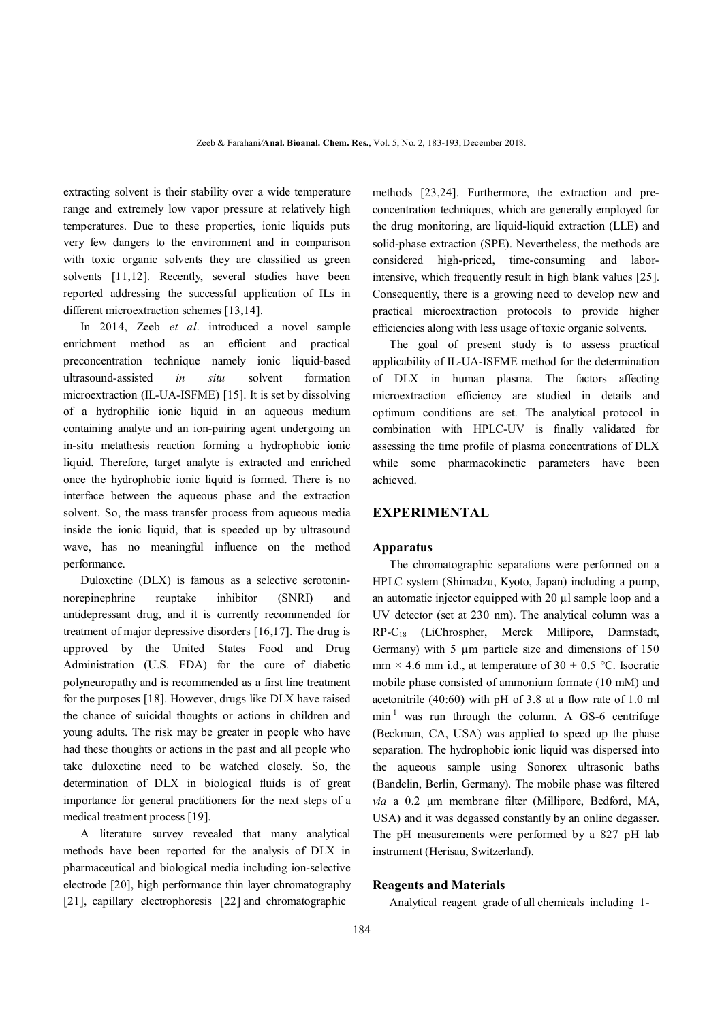extracting solvent is their stability over a wide temperature range and extremely low vapor pressure at relatively high temperatures. Due to these properties, ionic liquids puts very few dangers to the environment and in comparison with toxic organic solvents they are classified as green solvents [11,12]. Recently, several studies have been reported addressing the successful application of ILs in different microextraction schemes [13,14].

 In 2014, Zeeb *et al*. introduced a novel sample enrichment method as an efficient and practical preconcentration technique namely ionic liquid-based ultrasound-assisted *in situ* solvent formation microextraction (IL-UA-ISFME) [15]. It is set by dissolving of a hydrophilic ionic liquid in an aqueous medium containing analyte and an ion-pairing agent undergoing an in-situ metathesis reaction forming a hydrophobic ionic liquid. Therefore, target analyte is extracted and enriched once the hydrophobic ionic liquid is formed. There is no interface between the aqueous phase and the extraction solvent. So, the mass transfer process from aqueous media inside the ionic liquid, that is speeded up by ultrasound wave, has no meaningful influence on the method performance.

 Duloxetine (DLX) is famous as a selective serotoninnorepinephrine reuptake inhibitor (SNRI) and antidepressant drug, and it is currently recommended for treatment of major depressive disorders [16,17]. The drug is approved by the United States Food and Drug Administration (U.S. FDA) for the cure of diabetic polyneuropathy and is recommended as a first line treatment for the purposes [18]. However, drugs like DLX have raised the chance of suicidal thoughts or actions in children and young adults. The risk may be greater in people who have had these thoughts or actions in the past and all people who take duloxetine need to be watched closely. So, the determination of DLX in biological fluids is of great importance for general practitioners for the next steps of a medical treatment process [19].

 A literature survey revealed that many analytical methods have been reported for the analysis of DLX in pharmaceutical and biological media including ion-selective electrode [20], high performance thin layer chromatography [21], capillary electrophoresis [22] and chromatographic

methods [23,24]. Furthermore, the extraction and preconcentration techniques, which are generally employed for the drug monitoring, are liquid-liquid extraction (LLE) and solid-phase extraction (SPE). Nevertheless, the methods are considered high-priced, time-consuming and laborintensive, which frequently result in high blank values [25]. Consequently, there is a growing need to develop new and practical microextraction protocols to provide higher efficiencies along with less usage of toxic organic solvents.

 The goal of present study is to assess practical applicability of IL-UA-ISFME method for the determination of DLX in human plasma. The factors affecting microextraction efficiency are studied in details and optimum conditions are set. The analytical protocol in combination with HPLC-UV is finally validated for assessing the time profile of plasma concentrations of DLX while some pharmacokinetic parameters have been achieved.

# **EXPERIMENTAL**

#### **Apparatus**

 The chromatographic separations were performed on a HPLC system (Shimadzu, Kyoto, Japan) including a pump, an automatic injector equipped with 20 µl sample loop and a UV detector (set at 230 nm). The analytical column was a RP-C18 (LiChrospher, Merck Millipore, Darmstadt, Germany) with  $5 \mu m$  particle size and dimensions of  $150$ mm  $\times$  4.6 mm i.d., at temperature of 30  $\pm$  0.5 °C. Isocratic mobile phase consisted of ammonium formate (10 mM) and acetonitrile (40:60) with pH of 3.8 at a flow rate of 1.0 ml min-1 was run through the column. A GS-6 centrifuge (Beckman, CA, USA) was applied to speed up the phase separation. The hydrophobic ionic liquid was dispersed into the aqueous sample using Sonorex ultrasonic baths (Bandelin, Berlin, Germany). The mobile phase was filtered *via* a 0.2 μm membrane filter (Millipore, Bedford, MA, USA) and it was degassed constantly by an online degasser. The pH measurements were performed by a 827 pH lab instrument (Herisau, Switzerland).

#### **Reagents and Materials**

Analytical reagent grade of all chemicals including 1-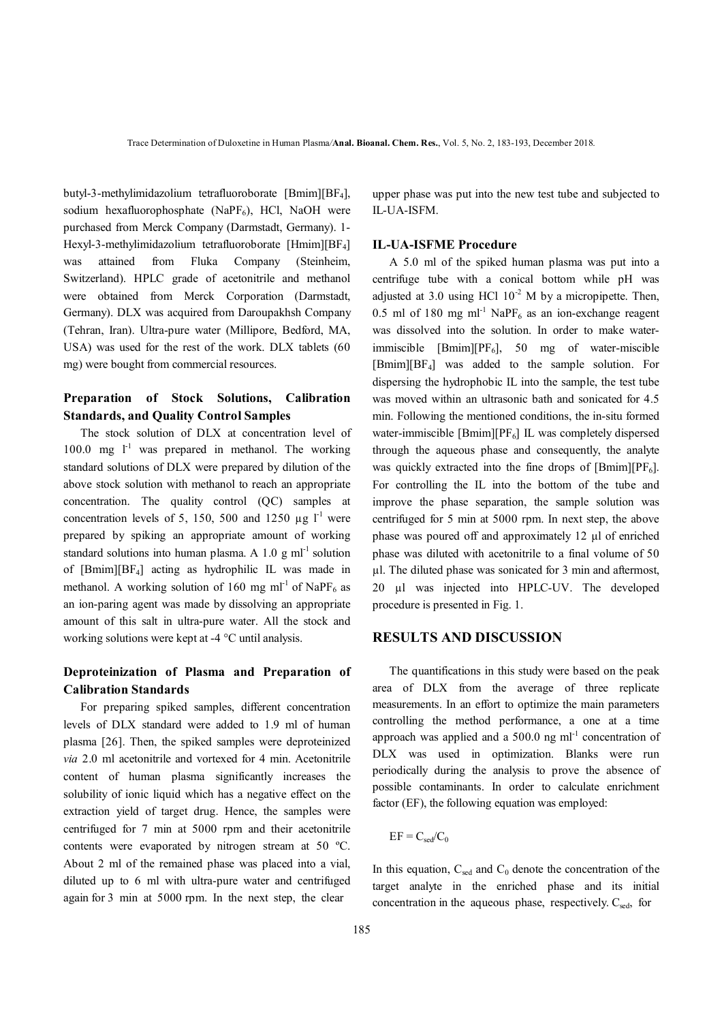butyl-3-methylimidazolium tetrafluoroborate [Bmim][BF4], sodium hexafluorophosphate (NaPF6), HCl, NaOH were purchased from Merck Company (Darmstadt, Germany). 1- Hexyl-3-methylimidazolium tetrafluoroborate [Hmim][BF4] was attained from Fluka Company (Steinheim, Switzerland). HPLC grade of acetonitrile and methanol were obtained from Merck Corporation (Darmstadt, Germany). DLX was acquired from Daroupakhsh Company (Tehran, Iran). Ultra-pure water (Millipore, Bedford, MA, USA) was used for the rest of the work. DLX tablets (60 mg) were bought from commercial resources.

# **Preparation of Stock Solutions, Calibration Standards, and Quality Control Samples**

 The stock solution of DLX at concentration level of 100.0 mg  $l^{-1}$  was prepared in methanol. The working standard solutions of DLX were prepared by dilution of the above stock solution with methanol to reach an appropriate concentration. The quality control (QC) samples at concentration levels of 5, 150, 500 and 1250  $\mu$ g l<sup>-1</sup> were prepared by spiking an appropriate amount of working standard solutions into human plasma. A  $1.0 \text{ g ml}^{-1}$  solution of [Bmim][BF4] acting as hydrophilic IL was made in methanol. A working solution of 160 mg ml<sup>-1</sup> of NaPF<sub>6</sub> as an ion-paring agent was made by dissolving an appropriate amount of this salt in ultra-pure water. All the stock and working solutions were kept at -4 °C until analysis.

# **Deproteinization of Plasma and Preparation of Calibration Standards**

 For preparing spiked samples, different concentration levels of DLX standard were added to 1.9 ml of human plasma [26]. Then, the spiked samples were deproteinized *via* 2.0 ml acetonitrile and vortexed for 4 min. Acetonitrile content of human plasma significantly increases the solubility of ionic liquid which has a negative effect on the extraction yield of target drug. Hence, the samples were centrifuged for 7 min at 5000 rpm and their acetonitrile contents were evaporated by nitrogen stream at 50 ºC. About 2 ml of the remained phase was placed into a vial, diluted up to 6 ml with ultra-pure water and centrifuged again for 3 min at 5000 rpm. In the next step, the clear

upper phase was put into the new test tube and subjected to IL-UA-ISFM.

# **IL-UA-ISFME Procedure**

 A 5.0 ml of the spiked human plasma was put into a centrifuge tube with a conical bottom while pH was adjusted at 3.0 using HCl  $10^{-2}$  M by a micropipette. Then, 0.5 ml of 180 mg ml<sup>-1</sup> NaP $F_6$  as an ion-exchange reagent was dissolved into the solution. In order to make waterimmiscible [Bmim][ $PF_6$ ], 50 mg of water-miscible [Bmim][BF4] was added to the sample solution. For dispersing the hydrophobic IL into the sample, the test tube was moved within an ultrasonic bath and sonicated for 4.5 min. Following the mentioned conditions, the in-situ formed water-immiscible [Bmim][ $PF_6$ ] IL was completely dispersed through the aqueous phase and consequently, the analyte was quickly extracted into the fine drops of  $[Bmim][PF_6]$ . For controlling the IL into the bottom of the tube and improve the phase separation, the sample solution was centrifuged for 5 min at 5000 rpm. In next step, the above phase was poured off and approximately 12 μl of enriched phase was diluted with acetonitrile to a final volume of 50 µl. The diluted phase was sonicated for 3 min and aftermost, 20 µl was injected into HPLC-UV. The developed procedure is presented in Fig. 1.

# **RESULTS AND DISCUSSION**

 The quantifications in this study were based on the peak area of DLX from the average of three replicate measurements. In an effort to optimize the main parameters controlling the method performance, a one at a time approach was applied and a  $500.0$  ng ml<sup>-1</sup> concentration of DLX was used in optimization. Blanks were run periodically during the analysis to prove the absence of possible contaminants. In order to calculate enrichment factor (EF), the following equation was employed:

$$
EF = C_{\text{sed}}/C_0
$$

In this equation,  $C_{\text{sed}}$  and  $C_0$  denote the concentration of the target analyte in the enriched phase and its initial concentration in the aqueous phase, respectively.  $C_{\text{sed}}$ , for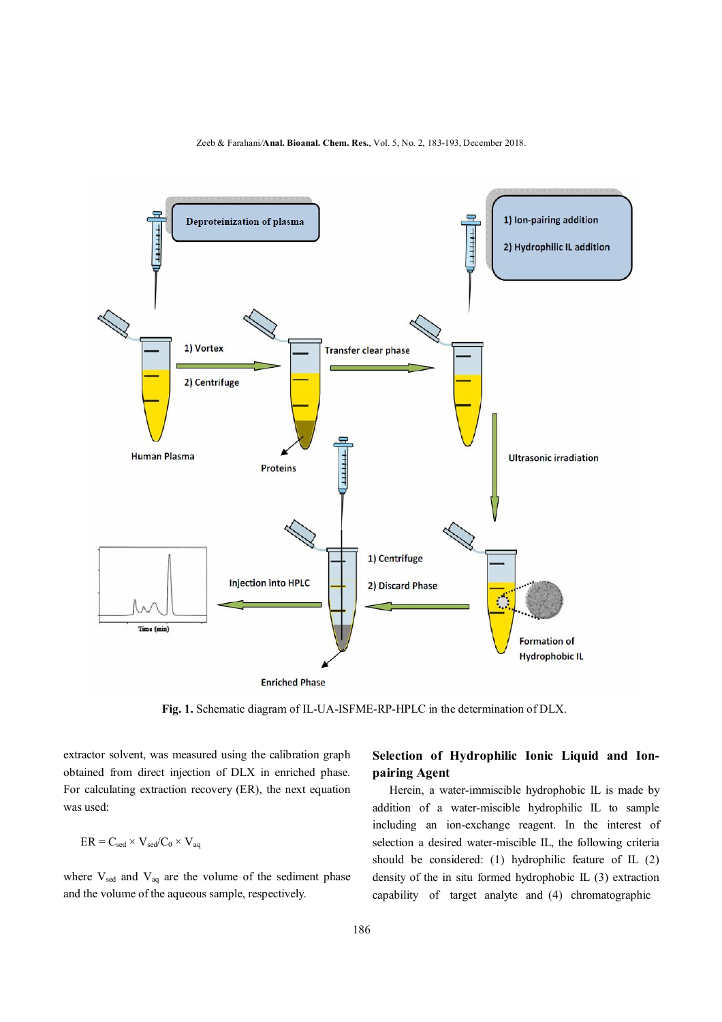



**Fig. 1.** Schematic diagram of IL-UA-ISFME-RP-HPLC in the determination of DLX.

extractor solvent, was measured using the calibration graph obtained from direct injection of DLX in enriched phase. For calculating extraction recovery (ER), the next equation was used:

$$
ER = C_{\text{sed}} \times V_{\text{sed}} / C_0 \times V_{\text{aq}}
$$

where  $V_{\text{sed}}$  and  $V_{\text{aq}}$  are the volume of the sediment phase and the volume of the aqueous sample, respectively.

# **Selection of Hydrophilic Ionic Liquid and Ionpairing Agent**

 Herein, a water-immiscible hydrophobic IL is made by addition of a water-miscible hydrophilic IL to sample including an ion-exchange reagent. In the interest of selection a desired water-miscible IL, the following criteria should be considered: (1) hydrophilic feature of IL (2) density of the in situ formed hydrophobic IL (3) extraction capability of target analyte and (4) chromatographic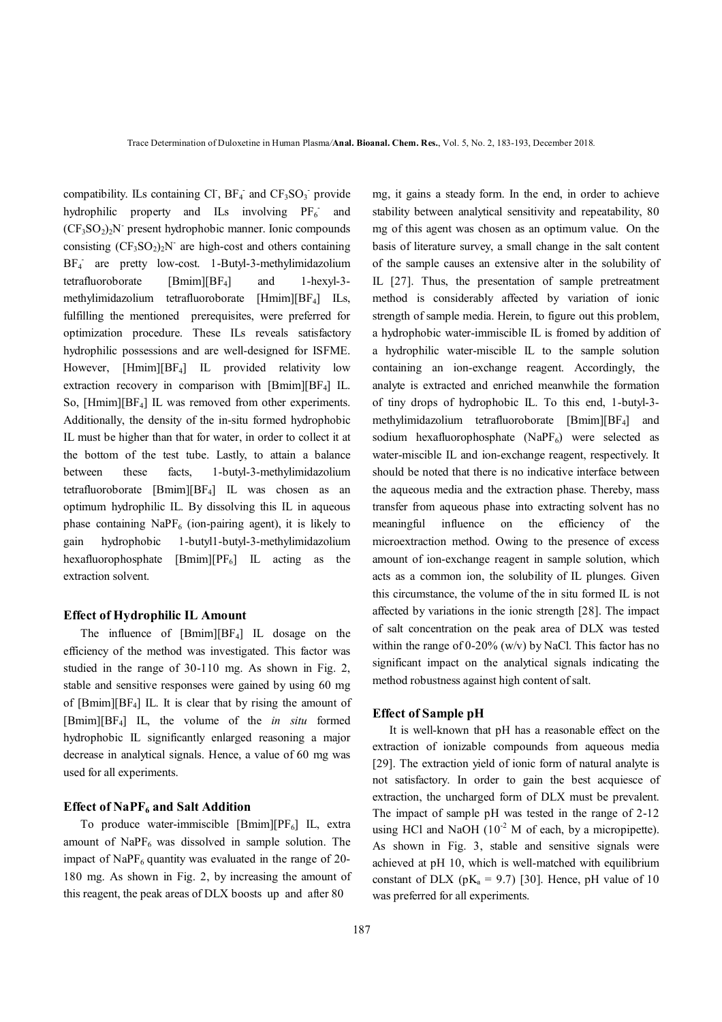compatibility. ILs containing Cl,  $BF_4$  and  $CF_3SO_3$  provide hydrophilic property and ILs involving  $PF_6^$ and (CF3SO2)2N - present hydrophobic manner. Ionic compounds consisting  $(CF_3SO_2)_2N$  are high-cost and others containing BF<sub>4</sub> are pretty low-cost. 1-Butyl-3-methylimidazolium tetrafluoroborate [Bmim][BF4] and 1-hexyl-3 methylimidazolium tetrafluoroborate [Hmim][BF4] ILs, fulfilling the mentioned prerequisites, were preferred for optimization procedure. These ILs reveals satisfactory hydrophilic possessions and are well-designed for ISFME. However, [Hmim][BF<sub>4</sub>] IL provided relativity low extraction recovery in comparison with [Bmim][BF4] IL. So,  $[Hmin][BF<sub>4</sub>]$  IL was removed from other experiments. Additionally, the density of the in-situ formed hydrophobic IL must be higher than that for water, in order to collect it at the bottom of the test tube. Lastly, to attain a balance between these facts, 1-butyl-3-methylimidazolium tetrafluoroborate [Bmim][BF4] IL was chosen as an optimum hydrophilic IL. By dissolving this IL in aqueous phase containing  $NaPF_6$  (ion-pairing agent), it is likely to gain hydrophobic 1-butyl1-butyl-3-methylimidazolium hexafluorophosphate  $\text{[Bmim]}[\text{PF}_6]$  IL acting as the extraction solvent.

# **Effect of Hydrophilic IL Amount**

The influence of  $[Bmin][BF<sub>4</sub>]$  IL dosage on the efficiency of the method was investigated. This factor was studied in the range of 30-110 mg. As shown in Fig. 2, stable and sensitive responses were gained by using 60 mg of  $[Bmin][BF<sub>4</sub>]$  IL. It is clear that by rising the amount of [Bmim][BF4] IL, the volume of the *in situ* formed hydrophobic IL significantly enlarged reasoning a major decrease in analytical signals. Hence, a value of 60 mg was used for all experiments.

### **Effect of NaPF6 and Salt Addition**

To produce water-immiscible  $[Bmim][PF_6]$  IL, extra amount of  $NaPF_6$  was dissolved in sample solution. The impact of NaPF<sub>6</sub> quantity was evaluated in the range of 20-180 mg. As shown in Fig. 2, by increasing the amount of this reagent, the peak areas of DLX boosts up and after 80

mg, it gains a steady form. In the end, in order to achieve stability between analytical sensitivity and repeatability, 80 mg of this agent was chosen as an optimum value. On the basis of literature survey, a small change in the salt content of the sample causes an extensive alter in the solubility of IL [27]. Thus, the presentation of sample pretreatment method is considerably affected by variation of ionic strength of sample media. Herein, to figure out this problem, a hydrophobic water-immiscible IL is fromed by addition of a hydrophilic water-miscible IL to the sample solution containing an ion-exchange reagent. Accordingly, the analyte is extracted and enriched meanwhile the formation of tiny drops of hydrophobic IL. To this end, 1-butyl-3 methylimidazolium tetrafluoroborate [Bmim][BF4] and sodium hexafluorophosphate  $(NaPF_6)$  were selected as water-miscible IL and ion-exchange reagent, respectively. It should be noted that there is no indicative interface between the aqueous media and the extraction phase. Thereby, mass transfer from aqueous phase into extracting solvent has no meaningful influence on the efficiency of the microextraction method. Owing to the presence of excess amount of ion-exchange reagent in sample solution, which acts as a common ion, the solubility of IL plunges. Given this circumstance, the volume of the in situ formed IL is not affected by variations in the ionic strength [28]. The impact of salt concentration on the peak area of DLX was tested within the range of  $0-20\%$  (w/v) by NaCl. This factor has no significant impact on the analytical signals indicating the method robustness against high content of salt.

# **Effect of Sample pH**

 It is well-known that pH has a reasonable effect on the extraction of ionizable compounds from aqueous media [29]. The extraction yield of ionic form of natural analyte is not satisfactory. In order to gain the best acquiesce of extraction, the uncharged form of DLX must be prevalent. The impact of sample pH was tested in the range of 2-12 using HCl and NaOH  $(10^{-2}$  M of each, by a micropipette). As shown in Fig. 3, stable and sensitive signals were achieved at pH 10, which is well-matched with equilibrium constant of DLX ( $pK_a = 9.7$ ) [30]. Hence, pH value of 10 was preferred for all experiments.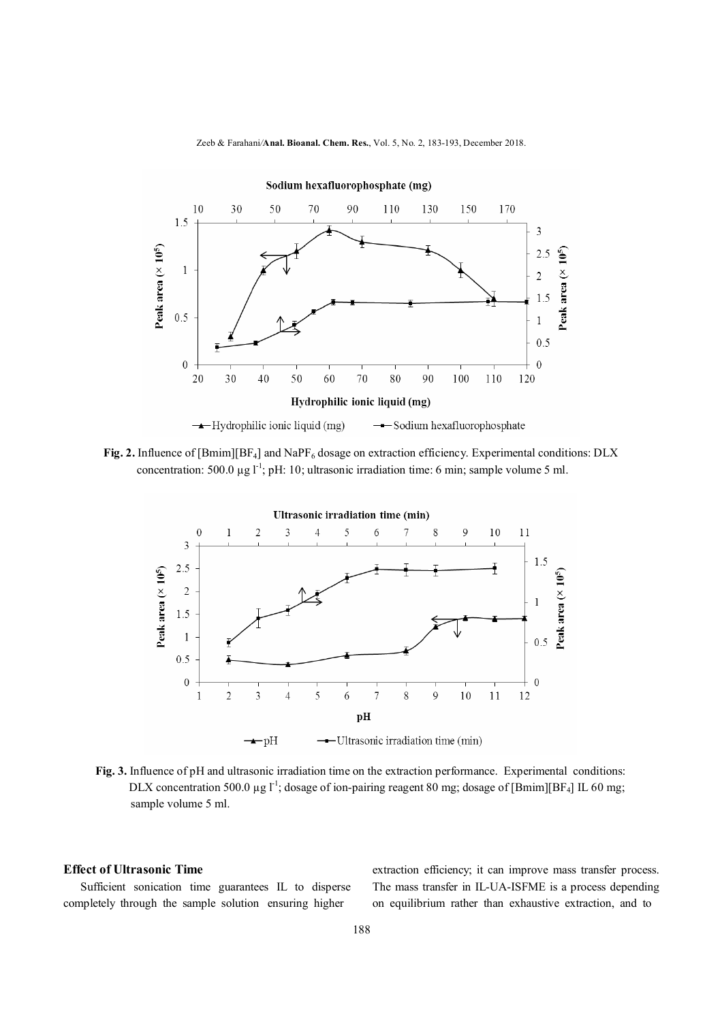

Zeeb & Farahani*/***Anal. Bioanal. Chem. Res.**, Vol. 5, No. 2, 183-193, December 2018.

Fig. 2. Influence of [Bmim][BF<sub>4</sub>] and NaPF<sub>6</sub> dosage on extraction efficiency. Experimental conditions: DLX concentration: 500.0  $\mu$ g l<sup>-1</sup>; pH: 10; ultrasonic irradiation time: 6 min; sample volume 5 ml.



**Fig. 3.** Influence of pH and ultrasonic irradiation time on the extraction performance. Experimental conditions: DLX concentration 500.0 µg  $l^{-1}$ ; dosage of ion-pairing reagent 80 mg; dosage of [Bmim][BF<sub>4</sub>] IL 60 mg; sample volume 5 ml.

# **Effect of Ultrasonic Time**

 Sufficient sonication time guarantees IL to disperse completely through the sample solution ensuring higher

extraction efficiency; it can improve mass transfer process. The mass transfer in IL-UA-ISFME is a process depending on equilibrium rather than exhaustive extraction, and to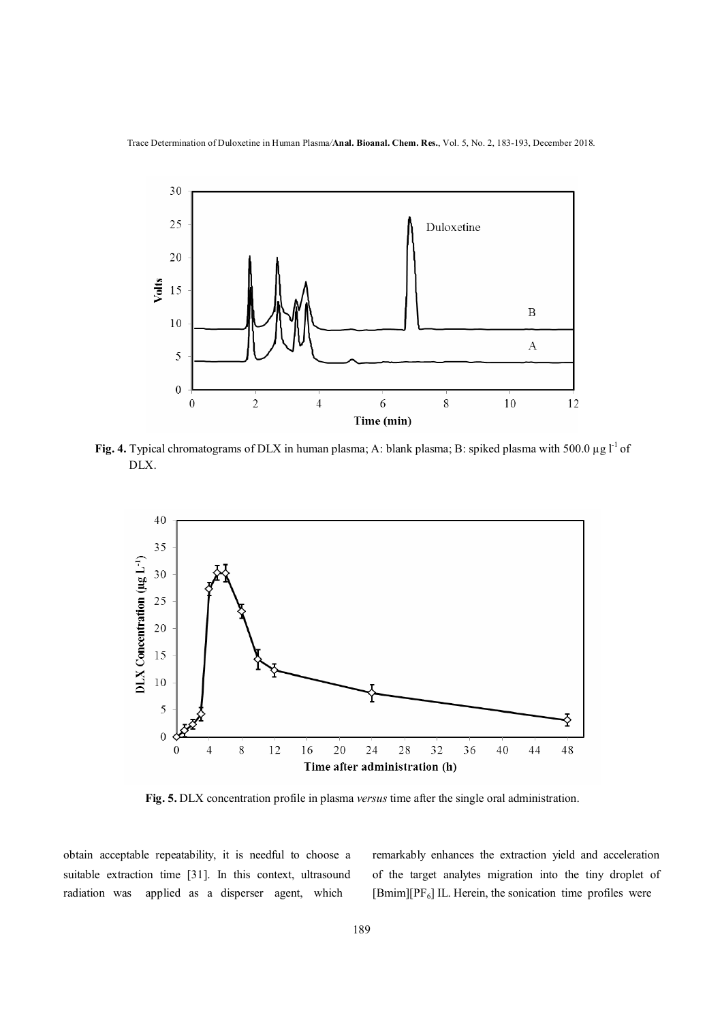Trace Determination of Duloxetine in Human Plasma*/***Anal. Bioanal. Chem. Res.**, Vol. 5, No. 2, 183-193, December 2018.



Fig. 4. Typical chromatograms of DLX in human plasma; A: blank plasma; B: spiked plasma with 500.0 µg  $l^1$  of DLX.



**Fig. 5.** DLX concentration profile in plasma *versus* time after the single oral administration.

obtain acceptable repeatability, it is needful to choose a suitable extraction time [31]. In this context, ultrasound radiation was applied as a disperser agent, which

remarkably enhances the extraction yield and acceleration of the target analytes migration into the tiny droplet of [Bmim][ $PF_6$ ] IL. Herein, the sonication time profiles were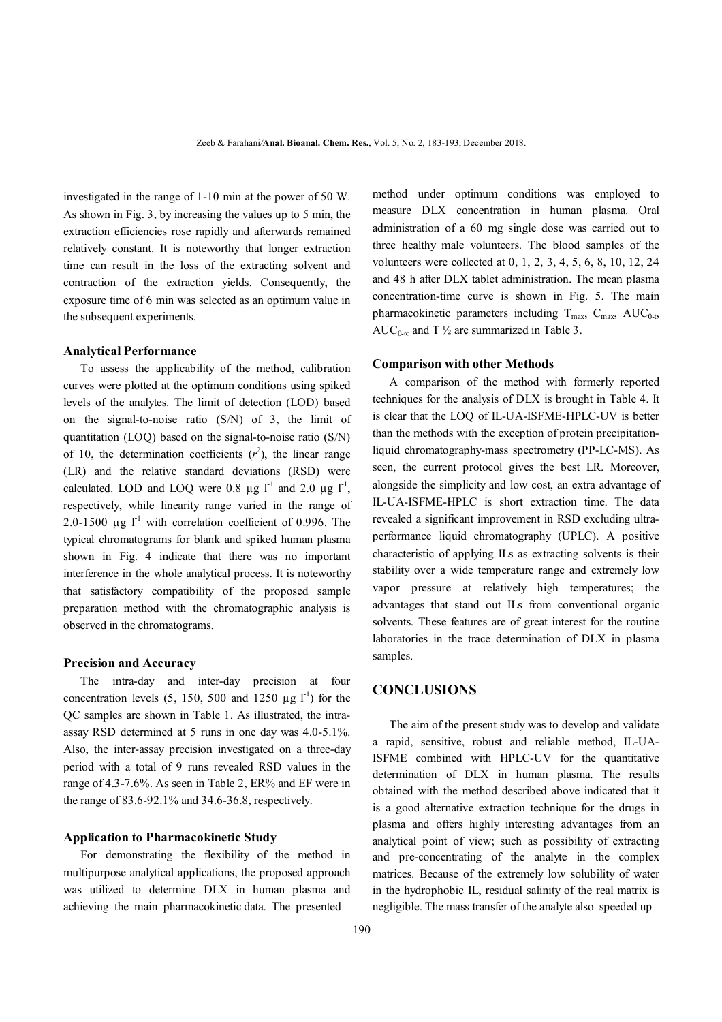investigated in the range of 1-10 min at the power of 50 W. As shown in Fig. 3, by increasing the values up to 5 min, the extraction efficiencies rose rapidly and afterwards remained relatively constant. It is noteworthy that longer extraction time can result in the loss of the extracting solvent and contraction of the extraction yields. Consequently, the exposure time of 6 min was selected as an optimum value in the subsequent experiments.

### **Analytical Performance**

 To assess the applicability of the method, calibration curves were plotted at the optimum conditions using spiked levels of the analytes. The limit of detection (LOD) based on the signal-to-noise ratio (S/N) of 3, the limit of quantitation (LOQ) based on the signal-to-noise ratio (S/N) of 10, the determination coefficients  $(r^2)$ , the linear range (LR) and the relative standard deviations (RSD) were calculated. LOD and LOQ were 0.8  $\mu$ g l<sup>-1</sup> and 2.0  $\mu$ g l<sup>-1</sup>, respectively, while linearity range varied in the range of 2.0-1500  $\mu$ g l<sup>-1</sup> with correlation coefficient of 0.996. The typical chromatograms for blank and spiked human plasma shown in Fig. 4 indicate that there was no important interference in the whole analytical process. It is noteworthy that satisfactory compatibility of the proposed sample preparation method with the chromatographic analysis is observed in the chromatograms.

#### **Precision and Accuracy**

 The intra-day and inter-day precision at four concentration levels  $(5, 150, 500$  and  $1250 \mu g l^{-1}$  for the QC samples are shown in Table 1. As illustrated, the intraassay RSD determined at 5 runs in one day was 4.0-5.1%. Also, the inter-assay precision investigated on a three-day period with a total of 9 runs revealed RSD values in the range of 4.3-7.6%. As seen in Table 2, ER% and EF were in the range of 83.6-92.1% and 34.6-36.8, respectively.

#### **Application to Pharmacokinetic Study**

 For demonstrating the flexibility of the method in multipurpose analytical applications, the proposed approach was utilized to determine DLX in human plasma and achieving the main pharmacokinetic data. The presented

method under optimum conditions was employed to measure DLX concentration in human plasma. Oral administration of a 60 mg single dose was carried out to three healthy male volunteers. The blood samples of the volunteers were collected at 0, 1, 2, 3, 4, 5, 6, 8, 10, 12, 24 and 48 h after DLX tablet administration. The mean plasma concentration-time curve is shown in Fig. 5. The main pharmacokinetic parameters including  $T_{\text{max}}$ ,  $C_{\text{max}}$ ,  $AUC_{0-t}$ , AUC<sub>0-∞</sub> and T  $\frac{1}{2}$  are summarized in Table 3.

### **Comparison with other Methods**

 A comparison of the method with formerly reported techniques for the analysis of DLX is brought in Table 4. It is clear that the LOQ of IL-UA-ISFME-HPLC-UV is better than the methods with the exception of protein precipitationliquid chromatography-mass spectrometry (PP-LC-MS). As seen, the current protocol gives the best LR. Moreover, alongside the simplicity and low cost, an extra advantage of IL-UA-ISFME-HPLC is short extraction time. The data revealed a significant improvement in RSD excluding ultraperformance liquid chromatography (UPLC). A positive characteristic of applying ILs as extracting solvents is their stability over a wide temperature range and extremely low vapor pressure at relatively high temperatures; the advantages that stand out ILs from conventional organic solvents. These features are of great interest for the routine laboratories in the trace determination of DLX in plasma samples.

# **CONCLUSIONS**

 The aim of the present study was to develop and validate a rapid, sensitive, robust and reliable method, IL-UA-ISFME combined with HPLC-UV for the quantitative determination of DLX in human plasma. The results obtained with the method described above indicated that it is a good alternative extraction technique for the drugs in plasma and offers highly interesting advantages from an analytical point of view; such as possibility of extracting and pre-concentrating of the analyte in the complex matrices. Because of the extremely low solubility of water in the hydrophobic IL, residual salinity of the real matrix is negligible. The mass transfer of the analyte also speeded up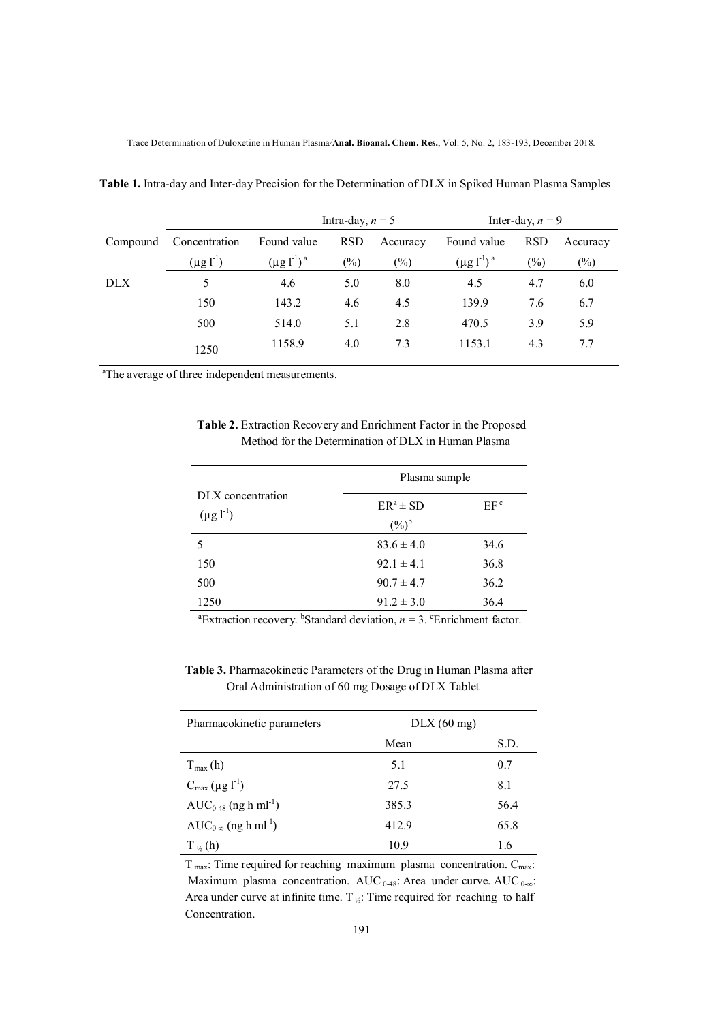|            |                          | Intra-day, $n = 5$ |            | Inter-day, $n = 9$ |                    |            |          |
|------------|--------------------------|--------------------|------------|--------------------|--------------------|------------|----------|
| Compound   | Concentration            | Found value        | <b>RSD</b> | Accuracy           | Found value        | <b>RSD</b> | Accuracy |
|            | $(\mu$ g l $\text{-}^1)$ | $(\mu g l^{-1})^a$ | $(\%)$     | $\frac{6}{6}$      | $(\mu g l^{-1})^a$ | (%)        | $(\%)$   |
| <b>DLX</b> | 5                        | 4.6                | 5.0        | 8.0                | 4.5                | 4.7        | 6.0      |
|            | 150                      | 143.2              | 4.6        | 4.5                | 139.9              | 7.6        | 6.7      |
|            | 500                      | 514.0              | 5.1        | 2.8                | 470.5              | 3.9        | 5.9      |
|            | 1250                     | 1158.9             | 4.0        | 7.3                | 1153.1             | 4.3        | 7.7      |

 **Table 1.** Intra-day and Inter-day Precision for the Determination of DLX in Spiked Human Plasma Samples

<sup>a</sup>The average of three independent measurements.

 **Table 2.** Extraction Recovery and Enrichment Factor in the Proposed Method for the Determination of DLX in Human Plasma

|                                         | Plasma sample                      |                 |  |
|-----------------------------------------|------------------------------------|-----------------|--|
| $DIX$ concentration<br>$(\mu g l^{-1})$ | $ER^a \pm SD$<br>$(\frac{6}{6})^b$ | EF <sup>c</sup> |  |
| 5                                       | $83.6 \pm 4.0$                     | 34.6            |  |
| 150                                     | $92.1 \pm 4.1$                     | 36.8            |  |
| 500                                     | $90.7 \pm 4.7$                     | 36.2            |  |
| 1250                                    | $91.2 \pm 3.0$                     | 36.4            |  |

<sup>a</sup>Extraction recovery. <sup>b</sup>Standard deviation,  $n = 3$ . <sup>c</sup>Enrichment factor.

 **Table 3.** Pharmacokinetic Parameters of the Drug in Human Plasma after Oral Administration of 60 mg Dosage of DLX Tablet

| Pharmacokinetic parameters                | $DLX(60$ mg) |      |  |
|-------------------------------------------|--------------|------|--|
|                                           | Mean         | S.D. |  |
| $T_{\text{max}}$ (h)                      | 5.1          | 0.7  |  |
| $C_{\text{max}} (\mu g l^{-1})$           | 27.5         | 8.1  |  |
| $AUC_{0.48}$ (ng h ml <sup>-1</sup> )     | 385.3        | 56.4 |  |
| $AUC_{0-\infty}$ (ng h ml <sup>-1</sup> ) | 412.9        | 65.8 |  |
| $T_{\frac{1}{2}}(h)$                      | 10.9         | 1.6  |  |

 $T_{\text{max}}$ : Time required for reaching maximum plasma concentration.  $C_{\text{max}}$ : Maximum plasma concentration. AUC  $_{0.48}$ : Area under curve. AUC  $_{0.∞}$ : Area under curve at infinite time.  $T_{\frac{1}{2}}$ : Time required for reaching to half Concentration.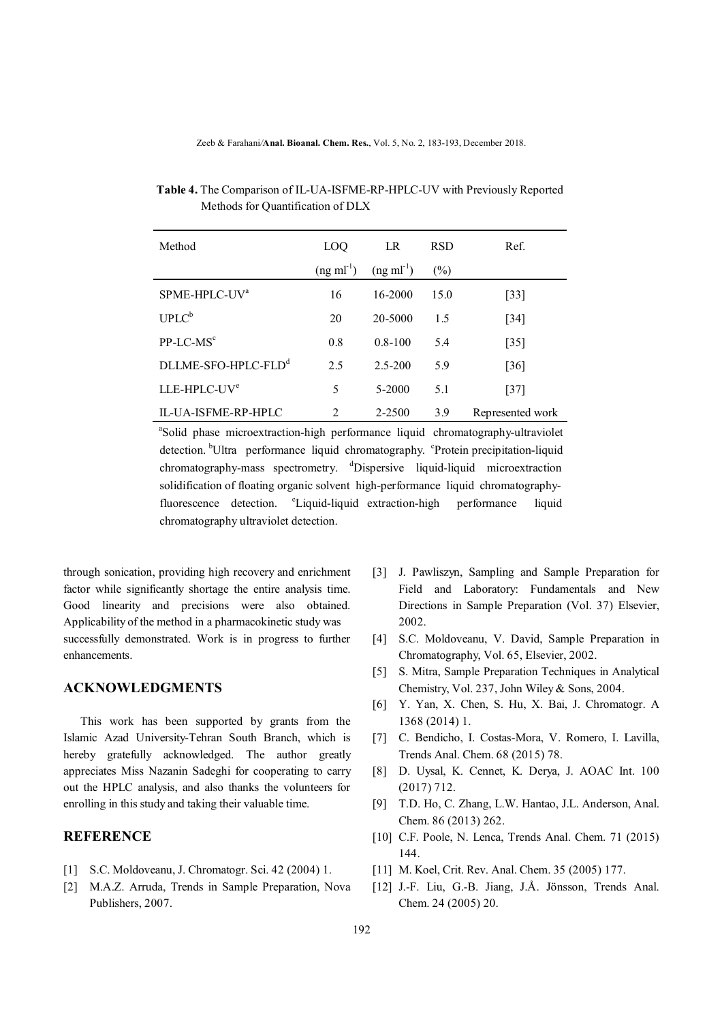| Method                          | LOO         | LR             | <b>RSD</b> | Ref.              |
|---------------------------------|-------------|----------------|------------|-------------------|
|                                 | $(ng ml-1)$ | $(ng ml^{-1})$ | $(\%)$     |                   |
| $SPME-HPI.C-UVa$                | 16          | 16-2000        | 15.0       | $[33]$            |
| $UPLC^b$                        | 20          | 20-5000        | 1.5        | $[34]$            |
| PP-LC-MS <sup>c</sup>           | 0.8         | $0.8 - 100$    | 5.4        | $[35]$            |
| DLLME-SFO-HPLC-FLD <sup>d</sup> | 2.5         | $2.5 - 200$    | 5.9        | $\left[36\right]$ |
| LLE-HPLC-UV <sup>e</sup>        | 5           | 5-2000         | 5.1        | $[37]$            |
| IL-UA-ISFME-RP-HPLC             | 2           | 2-2500         | 3.9        | Represented work  |

 **Table 4.** The Comparison of IL-UA-ISFME-RP-HPLC-UV with Previously Reported Methods for Quantification of DLX

a a shekarar a tsa <sup>a</sup>Solid phase microextraction-high performance liquid chromatography-ultraviolet detection. <sup>b</sup>Ultra performance liquid chromatography. <sup>c</sup>Protein precipitation-liquid chromatography-mass spectrometry. <sup>d</sup>Dispersive liquid-liquid microextraction solidification of floating organic solvent high-performance liquid chromatography fluorescence detection. <sup>e</sup>Liquid-liquid extraction-high performance liquid chromatography ultraviolet detection.

through sonication, providing high recovery and enrichment factor while significantly shortage the entire analysis time. Good linearity and precisions were also obtained. Applicability of the method in a pharmacokinetic study was successfully demonstrated. Work is in progress to further enhancements.

### **ACKNOWLEDGMENTS**

 This work has been supported by grants from the Islamic Azad University-Tehran South Branch, which is hereby gratefully acknowledged. The author greatly appreciates Miss Nazanin Sadeghi for cooperating to carry out the HPLC analysis, and also thanks the volunteers for enrolling in this study and taking their valuable time.

# **REFERENCE**

- [1] S.C. Moldoveanu, J. Chromatogr. Sci. 42 (2004) 1.
- [2] M.A.Z. Arruda, Trends in Sample Preparation, Nova Publishers, 2007.
- [3] J. Pawliszyn, Sampling and Sample Preparation for Field and Laboratory: Fundamentals and New Directions in Sample Preparation (Vol. 37) Elsevier, 2002.
- [4] S.C. Moldoveanu, V. David, Sample Preparation in Chromatography, Vol. 65, Elsevier, 2002.
- [5] S. Mitra, Sample Preparation Techniques in Analytical Chemistry, Vol. 237, John Wiley & Sons, 2004.
- [6] Y. Yan, X. Chen, S. Hu, X. Bai, J. Chromatogr. A 1368 (2014) 1.
- [7] C. Bendicho, I. Costas-Mora, V. Romero, I. Lavilla, Trends Anal. Chem. 68 (2015) 78.
- [8] D. Uysal, K. Cennet, K. Derya, J. AOAC Int. 100 (2017) 712.
- [9] T.D. Ho, C. Zhang, L.W. Hantao, J.L. Anderson, Anal. Chem. 86 (2013) 262.
- [10] C.F. Poole, N. Lenca, Trends Anal. Chem. 71 (2015) 144.
- [11] M. Koel, Crit. Rev. Anal. Chem. 35 (2005) 177.
- [12] J.-F. Liu, G.-B. Jiang, J.Å. Jönsson, Trends Anal. Chem. 24 (2005) 20.